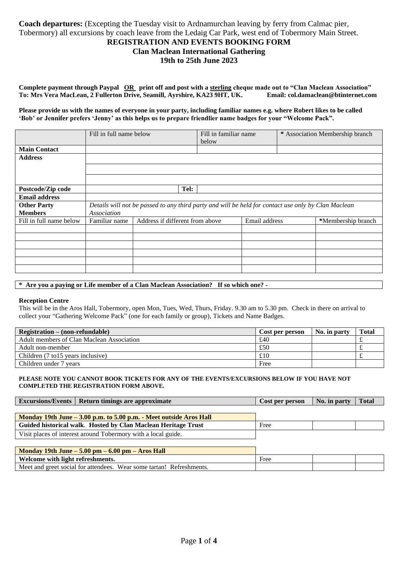# **Coach departures:** (Excepting the Tuesday visit to Ardnamurchan leaving by ferry from Calmac pier, Tobermory) all excursions by coach leave from the Ledaig Car Park, west end of Tobermory Main Street.

## **REGISTRATION AND EVENTS BOOKING FORM**

# **Clan Maclean International Gathering**

## **19th to 25th June 2023**

**Complete payment through Paypal OR print off and post with a sterling cheque made out to "Clan Maclean Association" To: Mrs Vera MacLean, 2 Fullerton Drive, Seamill, Ayrshire, KA23 9HT, UK. Email: col.damaclean@btinternet.com**

**Please provide us with the names of everyone in your party, including familiar names e.g. where Robert likes to be called 'Bob' or Jennifer prefers 'Jenny' as this helps us to prepare friendlier name badges for your "Welcome Pack".**

|                         | Fill in full name below |                                 | Fill in familiar name<br>below |               | * Association Membership branch                                                                     |
|-------------------------|-------------------------|---------------------------------|--------------------------------|---------------|-----------------------------------------------------------------------------------------------------|
| <b>Main Contact</b>     |                         |                                 |                                |               |                                                                                                     |
| <b>Address</b>          |                         |                                 |                                |               |                                                                                                     |
|                         |                         |                                 |                                |               |                                                                                                     |
|                         |                         |                                 |                                |               |                                                                                                     |
|                         |                         |                                 |                                |               |                                                                                                     |
| Postcode/Zip code       |                         |                                 | Tel:                           |               |                                                                                                     |
| <b>Email address</b>    |                         |                                 |                                |               |                                                                                                     |
| <b>Other Party</b>      |                         |                                 |                                |               | Details will not be passed to any third party and will be held for contact use only by Clan Maclean |
| <b>Members</b>          | Association             |                                 |                                |               |                                                                                                     |
| Fill in full name below | Familiar name           | Address if different from above |                                | Email address | *Membership branch                                                                                  |
|                         |                         |                                 |                                |               |                                                                                                     |
|                         |                         |                                 |                                |               |                                                                                                     |
|                         |                         |                                 |                                |               |                                                                                                     |
|                         |                         |                                 |                                |               |                                                                                                     |
|                         |                         |                                 |                                |               |                                                                                                     |
|                         |                         |                                 |                                |               |                                                                                                     |

## **\* Are you a paying or Life member of a Clan Maclean Association? If so which one? -**

#### **Reception Centre**

This will be in the Aros Hall, Tobermory, open Mon, Tues, Wed, Thurs, Friday. 9.30 am to 5.30 pm. Check in there on arrival to collect your "Gathering Welcome Pack" (one for each family or group), Tickets and Name Badges.

| $Region - (non-refundable)$               | Cost per person | No. in party | <b>Total</b> |
|-------------------------------------------|-----------------|--------------|--------------|
| Adult members of Clan Maclean Association | £40             |              |              |
| Adult non-member                          | £50             |              |              |
| Children (7 to 15 years inclusive)        | £10             |              |              |
| Children under 7 years                    | Free            |              |              |

## **PLEASE NOTE YOU CANNOT BOOK TICKETS FOR ANY OF THE EVENTS/EXCURSIONS BELOW IF YOU HAVE NOT COMPLETED THE REGISTRATION FORM ABOVE.**

| <b>Excursions/Events</b> | Return timings are approximate | Cost per person | No. in party | <b>Total</b> |
|--------------------------|--------------------------------|-----------------|--------------|--------------|
|                          |                                |                 |              |              |

| Monday 19th June – 3.00 p.m. to 5.00 p.m. - Meet outside Aros Hall |      |  |
|--------------------------------------------------------------------|------|--|
| Guided historical walk. Hosted by Clan Maclean Heritage Trust      | Free |  |
| Visit places of interest around Tobermory with a local guide.      |      |  |

| Monday 19th June $-5.00$ pm $-6.00$ pm $-$ Aros Hall                 |      |  |
|----------------------------------------------------------------------|------|--|
| Welcome with light refreshments.                                     | Free |  |
| Meet and greet social for attendees. Wear some tartan! Refreshments. |      |  |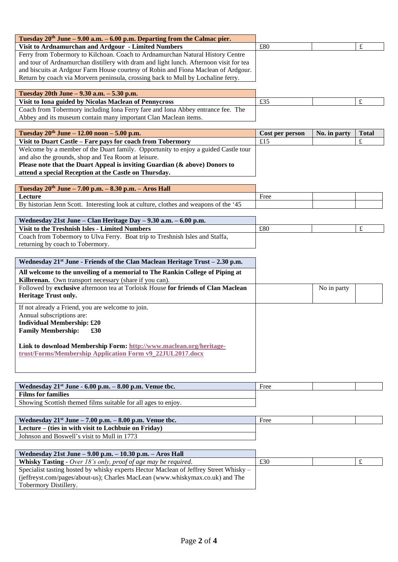| Tuesday $20th$ June – 9.00 a.m. – 6.00 p.m. Departing from the Calmac pier.            |     |  |
|----------------------------------------------------------------------------------------|-----|--|
| Visit to Ardnamurchan and Ardgour - Limited Numbers                                    | £80 |  |
| Ferry from Tobermory to Kilchoan. Coach to Ardnamurchan Natural History Centre         |     |  |
| and tour of Ardnamurchan distillery with dram and light lunch. Afternoon visit for tea |     |  |
| and biscuits at Ardgour Farm House courtesy of Robin and Fiona Maclean of Ardgour.     |     |  |
| Return by coach via Morvern peninsula, crossing back to Mull by Lochaline ferry.       |     |  |
|                                                                                        |     |  |
| Tuesday 20th Iune = $9.30$ a m = $5.30$ n m                                            |     |  |

| <b>Tuesuay</b> 20th June – 3.30 a.m. – 3.30 p.m.                                |     |  |
|---------------------------------------------------------------------------------|-----|--|
| Visit to Iona guided by Nicolas Maclean of Pennycross                           | LSJ |  |
| Coach from Tobermory including Iona Ferry fare and Iona Abbey entrance fee. The |     |  |
| Abbey and its museum contain many important Clan Maclean items.                 |     |  |

| Tuesday $20^{th}$ June – 12.00 noon – 5.00 p.m.                                    | Cost per person | No. in party | <b>Total</b> |
|------------------------------------------------------------------------------------|-----------------|--------------|--------------|
| Visit to Duart Castle – Fare pays for coach from Tobermory                         | £15             |              |              |
| Welcome by a member of the Duart family. Opportunity to enjoy a guided Castle tour |                 |              |              |
| and also the grounds, shop and Tea Room at leisure.                                |                 |              |              |
| Please note that the Duart Appeal is inviting Guardian (& above) Donors to         |                 |              |              |
| attend a special Reception at the Castle on Thursday.                              |                 |              |              |

| Tuesday $20^{th}$ June $- 7.00$ p.m. $- 8.30$ p.m. $- A$ ros Hall                    |      |  |
|--------------------------------------------------------------------------------------|------|--|
| Lecture                                                                              | Free |  |
| By historian Jenn Scott. Interesting look at culture, clothes and weapons of the '45 |      |  |

| Wednesday 21st June – Clan Heritage Day – $9.30$ a.m. – $6.00$ p.m.          |     |  |
|------------------------------------------------------------------------------|-----|--|
| Visit to the Treshnish Isles - Limited Numbers                               | £80 |  |
| Coach from Tobermory to Ulva Ferry. Boat trip to Treshnish Isles and Staffa, |     |  |
| returning by coach to Tobermory.                                             |     |  |

| Wednesday 21 <sup>st</sup> June - Friends of the Clan Maclean Heritage Trust – 2.30 p.m. |             |  |
|------------------------------------------------------------------------------------------|-------------|--|
| All welcome to the unveiling of a memorial to The Rankin College of Piping at            |             |  |
| Kilbrenan. Own transport necessary (share if you can).                                   |             |  |
| Followed by exclusive afternoon tea at Torloisk House for friends of Clan Maclean        | No in party |  |
| <b>Heritage Trust only.</b>                                                              |             |  |
| If not already a Friend, you are welcome to join.                                        |             |  |
| Annual subscriptions are:                                                                |             |  |
| <b>Individual Membership: £20</b>                                                        |             |  |
| <b>Family Membership:</b><br>£30                                                         |             |  |
|                                                                                          |             |  |
| Link to download Membership Form: http://www.maclean.org/heritage-                       |             |  |
| trust/Forms/Membership Application Form v9_22JUL2017.docx                                |             |  |
|                                                                                          |             |  |
|                                                                                          |             |  |

| Wednesday $21^{st}$ June - 6.00 p.m. $-8.00$ p.m. Venue tbc.  | Free |  |
|---------------------------------------------------------------|------|--|
| <b>Films for families</b>                                     |      |  |
| Showing Scottish themed films suitable for all ages to enjoy. |      |  |

| Wednesday $21^{st}$ June $-7.00$ p.m. $-8.00$ p.m. Venue tbc. | Free |  |
|---------------------------------------------------------------|------|--|
| Lecture – (ties in with visit to Lochbuie on Friday)          |      |  |
| Johnson and Boswell's visit to Mull in 1773                   |      |  |

| Wednesday 21st June – 9.00 p.m. – 10.30 p.m. – Aros Hall                              |     |  |
|---------------------------------------------------------------------------------------|-----|--|
| <b>Whisky Tasting -</b> Over 18's only, proof of age may be required.                 | £30 |  |
| Specialist tasting hosted by whisky experts Hector Maclean of Jeffrey Street Whisky – |     |  |
| (jeffreyst.com/pages/about-us); Charles MacLean (www.whiskymax.co.uk) and The         |     |  |
| Tobermory Distillery.                                                                 |     |  |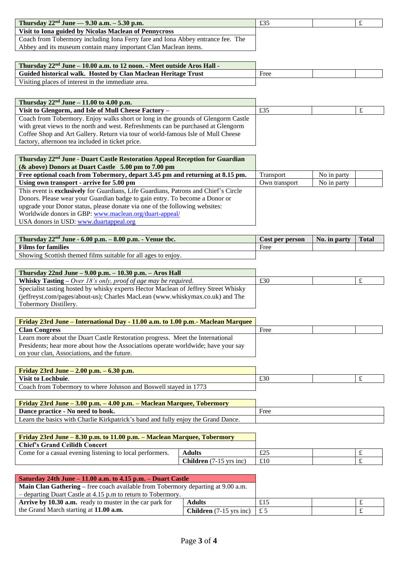| Thursday $22^{nd}$ June — 9.30 a.m. – 5.30 p.m.                                 | £35 |  |
|---------------------------------------------------------------------------------|-----|--|
| Visit to Iona guided by Nicolas Maclean of Pennycross                           |     |  |
| Coach from Tobermory including Iona Ferry fare and Iona Abbey entrance fee. The |     |  |
| Abbey and its museum contain many important Clan Maclean items.                 |     |  |

| Thursday 22 <sup>nd</sup> June – 10.00 a.m. to 12 noon. - Meet outside Aros Hall - |      |  |
|------------------------------------------------------------------------------------|------|--|
| Guided historical walk. Hosted by Clan Maclean Heritage Trust                      | Free |  |
| Visiting places of interest in the immediate area.                                 |      |  |

| Thursday $22^{nd}$ June – 11.00 to 4.00 p.m.                                      |     |  |
|-----------------------------------------------------------------------------------|-----|--|
| Visit to Glengorm, and Isle of Mull Cheese Factory –                              | £35 |  |
| Coach from Tobermory. Enjoy walks short or long in the grounds of Glengorm Castle |     |  |
| with great views to the north and west. Refreshments can be purchased at Glengorm |     |  |
| Coffee Shop and Art Gallery. Return via tour of world-famous Isle of Mull Cheese  |     |  |
| factory, afternoon tea included in ticket price.                                  |     |  |
|                                                                                   |     |  |

| Thursday 22 <sup>nd</sup> June - Duart Castle Restoration Appeal Reception for Guardian    |                  |             |  |
|--------------------------------------------------------------------------------------------|------------------|-------------|--|
| $(\&$ above) Donors at Duart Castle 5.00 pm to 7.00 pm                                     |                  |             |  |
| Free optional coach from Tobermory, depart 3.45 pm and returning at 8.15 pm.               | <b>Transport</b> | No in party |  |
| Using own transport - arrive for 5.00 pm                                                   | Own transport    | No in party |  |
| This event is <b>exclusively</b> for Guardians, Life Guardians, Patrons and Chief's Circle |                  |             |  |
| Donors. Please wear your Guardian badge to gain entry. To become a Donor or                |                  |             |  |
| upgrade your Donor status, please donate via one of the following websites:                |                  |             |  |
| Worldwide donors in GBP: www.maclean.org/duart-appeal/                                     |                  |             |  |
| USA donors in USD: www.duartappeal.org                                                     |                  |             |  |
|                                                                                            |                  |             |  |

| Thursday $22nd$ June - 6.00 p.m. - 8.00 p.m. - Venue tbc.     | Cost per person | No. in party | <b>Total</b> |
|---------------------------------------------------------------|-----------------|--------------|--------------|
| <b>Films for families</b>                                     | Free            |              |              |
| Showing Scottish themed films suitable for all ages to enjoy. |                 |              |              |

| Thursday $22nd$ June $-9.00$ p.m. $-10.30$ p.m. $-$ Aros Hall                       |     |  |
|-------------------------------------------------------------------------------------|-----|--|
| <b>Whisky Tasting –</b> Over 18's only, proof of age may be required.               | £30 |  |
| Specialist tasting hosted by whisky experts Hector Maclean of Jeffrey Street Whisky |     |  |
| (jeffreyst.com/pages/about-us); Charles MacLean (www.whiskymax.co.uk) and The       |     |  |
| Tobermory Distillery.                                                               |     |  |

| <b>Friday 23rd June – International Day - 11.00 a.m. to 1.00 p.m. - Maclean Marquee</b> |      |  |
|-----------------------------------------------------------------------------------------|------|--|
| <b>Clan Congress</b>                                                                    | Free |  |
| Learn more about the Duart Castle Restoration progress. Meet the International          |      |  |
| Presidents; hear more about how the Associations operate worldwide; have your say       |      |  |
| on your clan, Associations, and the future.                                             |      |  |

| Friday 23rd June $-2.00$ p.m. $-6.30$ p.m.                       |     |  |
|------------------------------------------------------------------|-----|--|
| <b>Visit to Lochbuie.</b>                                        | £30 |  |
| Coach from Tobermory to where Johnson and Boswell stayed in 1773 |     |  |

| <u>  Friday 23rd June – 3.00 p.m. – 4.00 p.m. – Maclean Marquee, Tobermory</u>    |      |
|-----------------------------------------------------------------------------------|------|
| Dance practice - No need to book.                                                 | Free |
| Learn the basics with Charlie Kirkpatrick's band and fully enjoy the Grand Dance. |      |

| Friday 23rd June – 8.30 p.m. to 11.00 p.m. – Maclean Marquee, Tobermory |                                                  |     |  |
|-------------------------------------------------------------------------|--------------------------------------------------|-----|--|
| <b>Chief's Grand Ceilidh Concert</b>                                    |                                                  |     |  |
| Come for a casual evening listening to local performers.                | <b>Adults</b>                                    | £25 |  |
|                                                                         | <b>Children</b> $(7-15 \text{ yrs} \text{ inc})$ | £10 |  |

| Saturday 24th June $-11.00$ a.m. to 4.15 p.m. $-$ Duart Castle                          |                                                           |     |  |
|-----------------------------------------------------------------------------------------|-----------------------------------------------------------|-----|--|
| <b>Main Clan Gathering –</b> free coach available from Tobermory departing at 9.00 a.m. |                                                           |     |  |
| $-$ departing Duart Castle at 4.15 p.m to return to Tobermory.                          |                                                           |     |  |
| <b>Arrive by 10.30 a.m.</b> ready to muster in the car park for                         | <b>Adults</b>                                             | £15 |  |
| the Grand March starting at 11.00 a.m.                                                  | <b>Children</b> (7-15 yrs inc) $\left  \right. \pounds 5$ |     |  |